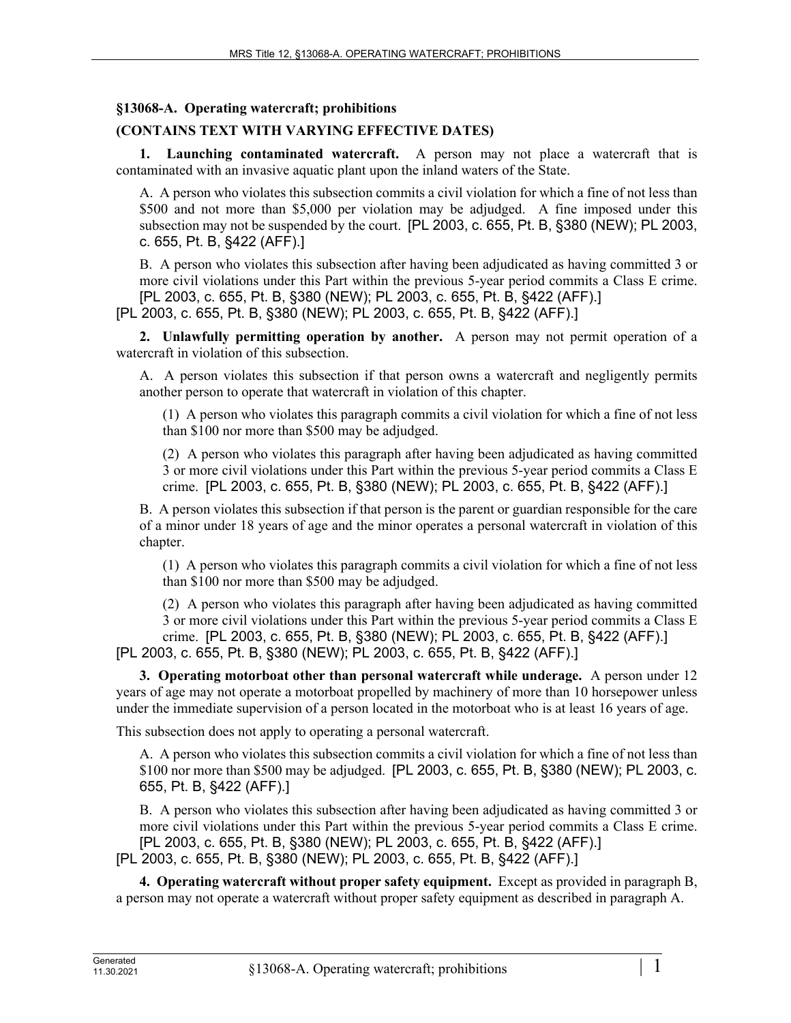## **§13068-A. Operating watercraft; prohibitions**

# **(CONTAINS TEXT WITH VARYING EFFECTIVE DATES)**

**1. Launching contaminated watercraft.** A person may not place a watercraft that is contaminated with an invasive aquatic plant upon the inland waters of the State.

A. A person who violates this subsection commits a civil violation for which a fine of not less than \$500 and not more than \$5,000 per violation may be adjudged. A fine imposed under this subsection may not be suspended by the court. [PL 2003, c. 655, Pt. B, §380 (NEW); PL 2003, c. 655, Pt. B, §422 (AFF).]

B. A person who violates this subsection after having been adjudicated as having committed 3 or more civil violations under this Part within the previous 5-year period commits a Class E crime. [PL 2003, c. 655, Pt. B, §380 (NEW); PL 2003, c. 655, Pt. B, §422 (AFF).]

[PL 2003, c. 655, Pt. B, §380 (NEW); PL 2003, c. 655, Pt. B, §422 (AFF).]

**2. Unlawfully permitting operation by another.** A person may not permit operation of a watercraft in violation of this subsection.

A. A person violates this subsection if that person owns a watercraft and negligently permits another person to operate that watercraft in violation of this chapter.

(1) A person who violates this paragraph commits a civil violation for which a fine of not less than \$100 nor more than \$500 may be adjudged.

(2) A person who violates this paragraph after having been adjudicated as having committed 3 or more civil violations under this Part within the previous 5-year period commits a Class E crime. [PL 2003, c. 655, Pt. B, §380 (NEW); PL 2003, c. 655, Pt. B, §422 (AFF).]

B. A person violates this subsection if that person is the parent or guardian responsible for the care of a minor under 18 years of age and the minor operates a personal watercraft in violation of this chapter.

(1) A person who violates this paragraph commits a civil violation for which a fine of not less than \$100 nor more than \$500 may be adjudged.

(2) A person who violates this paragraph after having been adjudicated as having committed 3 or more civil violations under this Part within the previous 5-year period commits a Class E crime. [PL 2003, c. 655, Pt. B, §380 (NEW); PL 2003, c. 655, Pt. B, §422 (AFF).]

[PL 2003, c. 655, Pt. B, §380 (NEW); PL 2003, c. 655, Pt. B, §422 (AFF).]

**3. Operating motorboat other than personal watercraft while underage.** A person under 12 years of age may not operate a motorboat propelled by machinery of more than 10 horsepower unless under the immediate supervision of a person located in the motorboat who is at least 16 years of age.

This subsection does not apply to operating a personal watercraft.

A. A person who violates this subsection commits a civil violation for which a fine of not less than \$100 nor more than \$500 may be adjudged. [PL 2003, c. 655, Pt. B, §380 (NEW); PL 2003, c. 655, Pt. B, §422 (AFF).]

B. A person who violates this subsection after having been adjudicated as having committed 3 or more civil violations under this Part within the previous 5-year period commits a Class E crime. [PL 2003, c. 655, Pt. B, §380 (NEW); PL 2003, c. 655, Pt. B, §422 (AFF).] [PL 2003, c. 655, Pt. B, §380 (NEW); PL 2003, c. 655, Pt. B, §422 (AFF).]

**4. Operating watercraft without proper safety equipment.** Except as provided in paragraph B, a person may not operate a watercraft without proper safety equipment as described in paragraph A.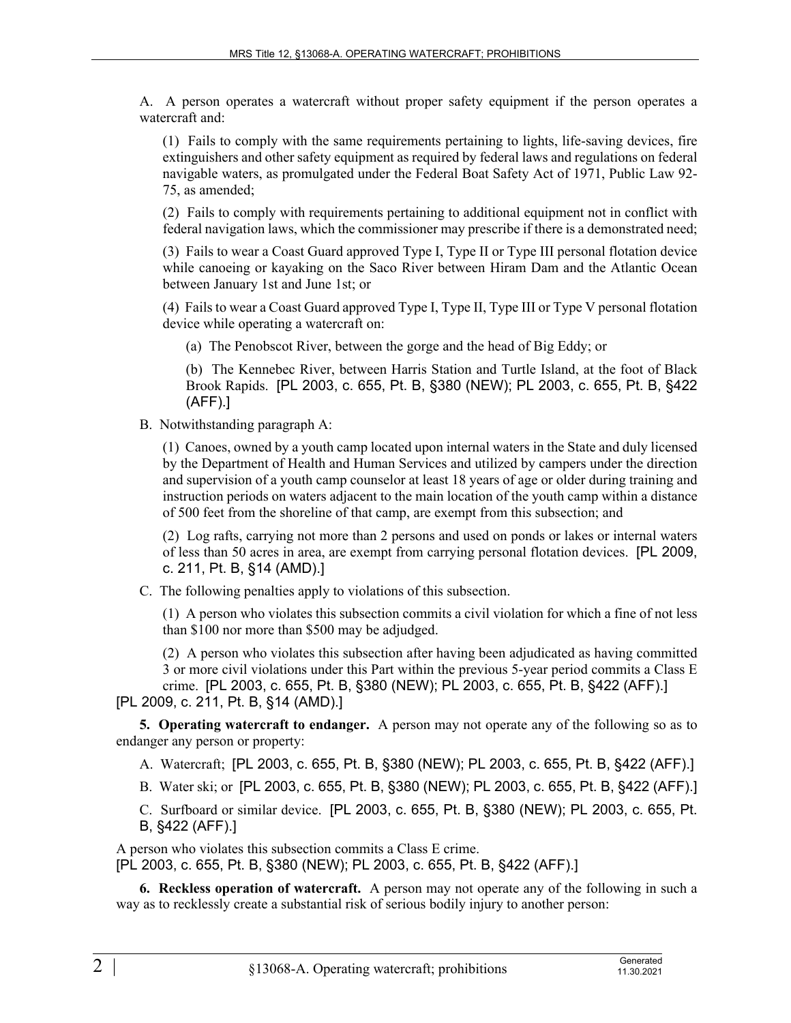A. A person operates a watercraft without proper safety equipment if the person operates a watercraft and:

(1) Fails to comply with the same requirements pertaining to lights, life-saving devices, fire extinguishers and other safety equipment as required by federal laws and regulations on federal navigable waters, as promulgated under the Federal Boat Safety Act of 1971, Public Law 92- 75, as amended;

(2) Fails to comply with requirements pertaining to additional equipment not in conflict with federal navigation laws, which the commissioner may prescribe if there is a demonstrated need;

(3) Fails to wear a Coast Guard approved Type I, Type II or Type III personal flotation device while canoeing or kayaking on the Saco River between Hiram Dam and the Atlantic Ocean between January 1st and June 1st; or

(4) Fails to wear a Coast Guard approved Type I, Type II, Type III or Type V personal flotation device while operating a watercraft on:

(a) The Penobscot River, between the gorge and the head of Big Eddy; or

(b) The Kennebec River, between Harris Station and Turtle Island, at the foot of Black Brook Rapids. [PL 2003, c. 655, Pt. B, §380 (NEW); PL 2003, c. 655, Pt. B, §422 (AFF).]

B. Notwithstanding paragraph A:

(1) Canoes, owned by a youth camp located upon internal waters in the State and duly licensed by the Department of Health and Human Services and utilized by campers under the direction and supervision of a youth camp counselor at least 18 years of age or older during training and instruction periods on waters adjacent to the main location of the youth camp within a distance of 500 feet from the shoreline of that camp, are exempt from this subsection; and

(2) Log rafts, carrying not more than 2 persons and used on ponds or lakes or internal waters of less than 50 acres in area, are exempt from carrying personal flotation devices. [PL 2009, c. 211, Pt. B, §14 (AMD).]

C. The following penalties apply to violations of this subsection.

(1) A person who violates this subsection commits a civil violation for which a fine of not less than \$100 nor more than \$500 may be adjudged.

(2) A person who violates this subsection after having been adjudicated as having committed 3 or more civil violations under this Part within the previous 5-year period commits a Class E crime. [PL 2003, c. 655, Pt. B, §380 (NEW); PL 2003, c. 655, Pt. B, §422 (AFF).]

### [PL 2009, c. 211, Pt. B, §14 (AMD).]

**5. Operating watercraft to endanger.** A person may not operate any of the following so as to endanger any person or property:

- A. Watercraft; [PL 2003, c. 655, Pt. B, §380 (NEW); PL 2003, c. 655, Pt. B, §422 (AFF).]
- B. Water ski; or [PL 2003, c. 655, Pt. B, §380 (NEW); PL 2003, c. 655, Pt. B, §422 (AFF).]

C. Surfboard or similar device. [PL 2003, c. 655, Pt. B, §380 (NEW); PL 2003, c. 655, Pt. B, §422 (AFF).]

A person who violates this subsection commits a Class E crime. [PL 2003, c. 655, Pt. B, §380 (NEW); PL 2003, c. 655, Pt. B, §422 (AFF).]

**6. Reckless operation of watercraft.** A person may not operate any of the following in such a way as to recklessly create a substantial risk of serious bodily injury to another person: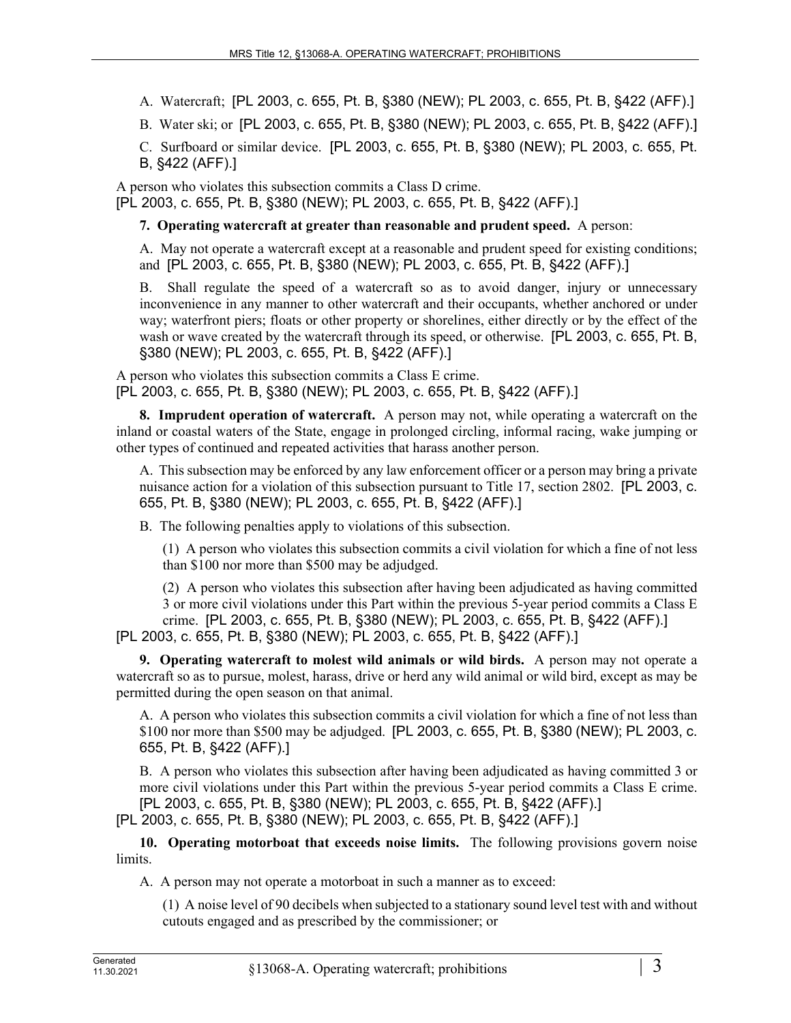A. Watercraft; [PL 2003, c. 655, Pt. B, §380 (NEW); PL 2003, c. 655, Pt. B, §422 (AFF).]

B. Water ski; or [PL 2003, c. 655, Pt. B, §380 (NEW); PL 2003, c. 655, Pt. B, §422 (AFF).]

C. Surfboard or similar device. [PL 2003, c. 655, Pt. B, §380 (NEW); PL 2003, c. 655, Pt. B, §422 (AFF).]

A person who violates this subsection commits a Class D crime. [PL 2003, c. 655, Pt. B, §380 (NEW); PL 2003, c. 655, Pt. B, §422 (AFF).]

**7. Operating watercraft at greater than reasonable and prudent speed.** A person:

A. May not operate a watercraft except at a reasonable and prudent speed for existing conditions; and [PL 2003, c. 655, Pt. B, §380 (NEW); PL 2003, c. 655, Pt. B, §422 (AFF).]

B. Shall regulate the speed of a watercraft so as to avoid danger, injury or unnecessary inconvenience in any manner to other watercraft and their occupants, whether anchored or under way; waterfront piers; floats or other property or shorelines, either directly or by the effect of the wash or wave created by the watercraft through its speed, or otherwise. [PL 2003, c. 655, Pt. B, §380 (NEW); PL 2003, c. 655, Pt. B, §422 (AFF).]

A person who violates this subsection commits a Class E crime. [PL 2003, c. 655, Pt. B, §380 (NEW); PL 2003, c. 655, Pt. B, §422 (AFF).]

**8. Imprudent operation of watercraft.** A person may not, while operating a watercraft on the inland or coastal waters of the State, engage in prolonged circling, informal racing, wake jumping or other types of continued and repeated activities that harass another person.

A. This subsection may be enforced by any law enforcement officer or a person may bring a private nuisance action for a violation of this subsection pursuant to Title 17, section 2802. [PL 2003, c. 655, Pt. B, §380 (NEW); PL 2003, c. 655, Pt. B, §422 (AFF).]

B. The following penalties apply to violations of this subsection.

(1) A person who violates this subsection commits a civil violation for which a fine of not less than \$100 nor more than \$500 may be adjudged.

(2) A person who violates this subsection after having been adjudicated as having committed 3 or more civil violations under this Part within the previous 5-year period commits a Class E crime. [PL 2003, c. 655, Pt. B, §380 (NEW); PL 2003, c. 655, Pt. B, §422 (AFF).]

[PL 2003, c. 655, Pt. B, §380 (NEW); PL 2003, c. 655, Pt. B, §422 (AFF).]

**9. Operating watercraft to molest wild animals or wild birds.** A person may not operate a watercraft so as to pursue, molest, harass, drive or herd any wild animal or wild bird, except as may be permitted during the open season on that animal.

A. A person who violates this subsection commits a civil violation for which a fine of not less than \$100 nor more than \$500 may be adjudged. [PL 2003, c. 655, Pt. B, §380 (NEW); PL 2003, c. 655, Pt. B, §422 (AFF).]

B. A person who violates this subsection after having been adjudicated as having committed 3 or more civil violations under this Part within the previous 5-year period commits a Class E crime. [PL 2003, c. 655, Pt. B, §380 (NEW); PL 2003, c. 655, Pt. B, §422 (AFF).] [PL 2003, c. 655, Pt. B, §380 (NEW); PL 2003, c. 655, Pt. B, §422 (AFF).]

**10. Operating motorboat that exceeds noise limits.** The following provisions govern noise limits.

A. A person may not operate a motorboat in such a manner as to exceed:

(1) A noise level of 90 decibels when subjected to a stationary sound level test with and without cutouts engaged and as prescribed by the commissioner; or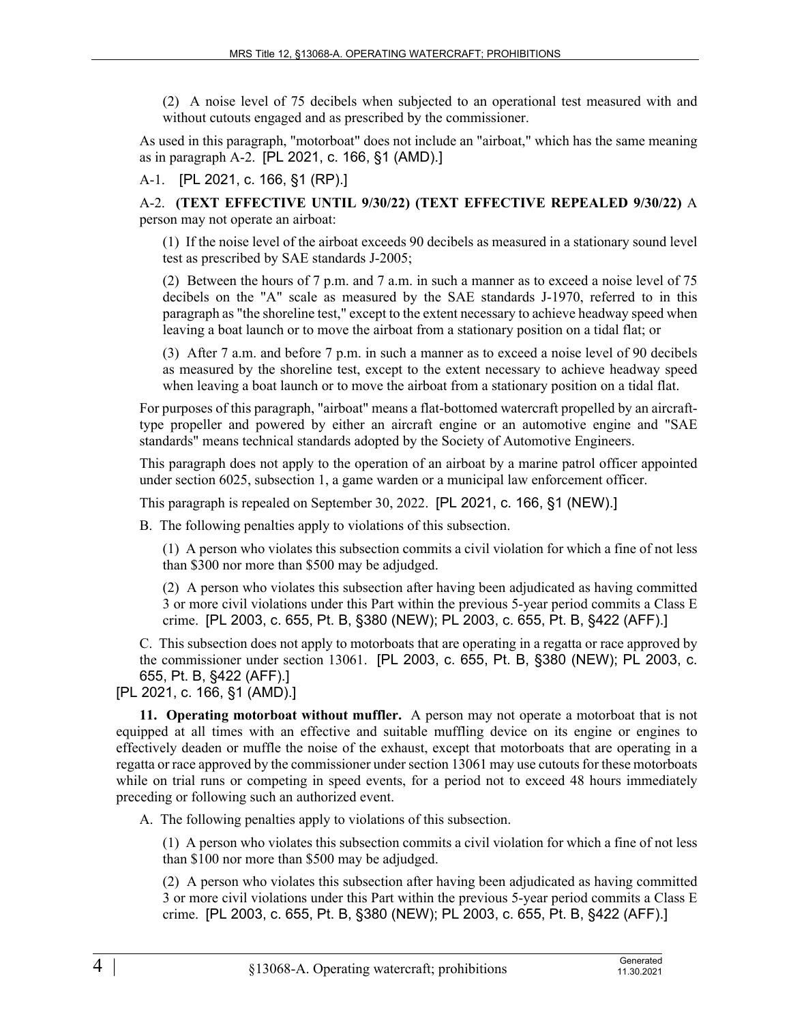(2) A noise level of 75 decibels when subjected to an operational test measured with and without cutouts engaged and as prescribed by the commissioner.

As used in this paragraph, "motorboat" does not include an "airboat," which has the same meaning as in paragraph A-2. [PL 2021, c. 166, §1 (AMD).]

### A-1. [PL 2021, c. 166, §1 (RP).]

A-2. **(TEXT EFFECTIVE UNTIL 9/30/22) (TEXT EFFECTIVE REPEALED 9/30/22)** A person may not operate an airboat:

(1) If the noise level of the airboat exceeds 90 decibels as measured in a stationary sound level test as prescribed by SAE standards J-2005;

(2) Between the hours of 7 p.m. and 7 a.m. in such a manner as to exceed a noise level of 75 decibels on the "A" scale as measured by the SAE standards J-1970, referred to in this paragraph as "the shoreline test," except to the extent necessary to achieve headway speed when leaving a boat launch or to move the airboat from a stationary position on a tidal flat; or

(3) After 7 a.m. and before 7 p.m. in such a manner as to exceed a noise level of 90 decibels as measured by the shoreline test, except to the extent necessary to achieve headway speed when leaving a boat launch or to move the airboat from a stationary position on a tidal flat.

For purposes of this paragraph, "airboat" means a flat-bottomed watercraft propelled by an aircrafttype propeller and powered by either an aircraft engine or an automotive engine and "SAE standards" means technical standards adopted by the Society of Automotive Engineers.

This paragraph does not apply to the operation of an airboat by a marine patrol officer appointed under section 6025, subsection 1, a game warden or a municipal law enforcement officer.

This paragraph is repealed on September 30, 2022. [PL 2021, c. 166, §1 (NEW).]

B. The following penalties apply to violations of this subsection.

(1) A person who violates this subsection commits a civil violation for which a fine of not less than \$300 nor more than \$500 may be adjudged.

(2) A person who violates this subsection after having been adjudicated as having committed 3 or more civil violations under this Part within the previous 5-year period commits a Class E crime. [PL 2003, c. 655, Pt. B, §380 (NEW); PL 2003, c. 655, Pt. B, §422 (AFF).]

C. This subsection does not apply to motorboats that are operating in a regatta or race approved by the commissioner under section 13061. [PL 2003, c. 655, Pt. B, §380 (NEW); PL 2003, c. 655, Pt. B, §422 (AFF).]

[PL 2021, c. 166, §1 (AMD).]

**11. Operating motorboat without muffler.** A person may not operate a motorboat that is not equipped at all times with an effective and suitable muffling device on its engine or engines to effectively deaden or muffle the noise of the exhaust, except that motorboats that are operating in a regatta or race approved by the commissioner under section 13061 may use cutouts for these motorboats while on trial runs or competing in speed events, for a period not to exceed 48 hours immediately preceding or following such an authorized event.

A. The following penalties apply to violations of this subsection.

(1) A person who violates this subsection commits a civil violation for which a fine of not less than \$100 nor more than \$500 may be adjudged.

(2) A person who violates this subsection after having been adjudicated as having committed 3 or more civil violations under this Part within the previous 5-year period commits a Class E crime. [PL 2003, c. 655, Pt. B, §380 (NEW); PL 2003, c. 655, Pt. B, §422 (AFF).]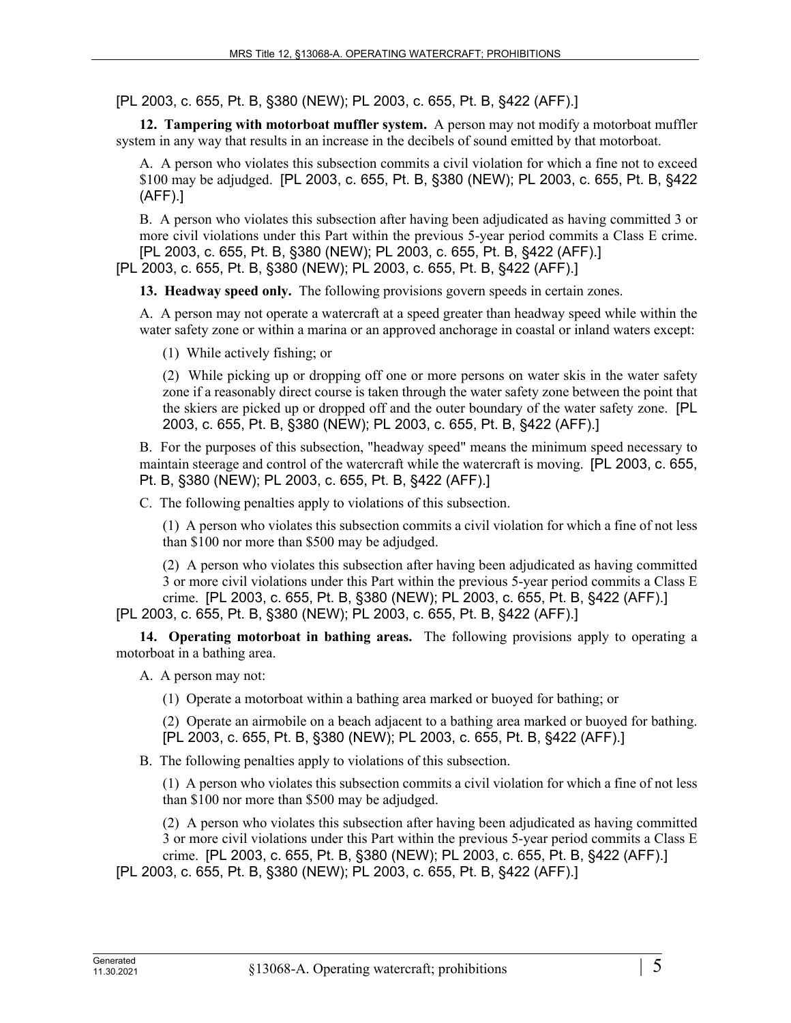[PL 2003, c. 655, Pt. B, §380 (NEW); PL 2003, c. 655, Pt. B, §422 (AFF).]

**12. Tampering with motorboat muffler system.** A person may not modify a motorboat muffler system in any way that results in an increase in the decibels of sound emitted by that motorboat.

A. A person who violates this subsection commits a civil violation for which a fine not to exceed \$100 may be adjudged. [PL 2003, c. 655, Pt. B, §380 (NEW); PL 2003, c. 655, Pt. B, §422 (AFF).]

B. A person who violates this subsection after having been adjudicated as having committed 3 or more civil violations under this Part within the previous 5-year period commits a Class E crime. [PL 2003, c. 655, Pt. B, §380 (NEW); PL 2003, c. 655, Pt. B, §422 (AFF).]

[PL 2003, c. 655, Pt. B, §380 (NEW); PL 2003, c. 655, Pt. B, §422 (AFF).]

**13. Headway speed only.** The following provisions govern speeds in certain zones.

A. A person may not operate a watercraft at a speed greater than headway speed while within the water safety zone or within a marina or an approved anchorage in coastal or inland waters except:

(1) While actively fishing; or

(2) While picking up or dropping off one or more persons on water skis in the water safety zone if a reasonably direct course is taken through the water safety zone between the point that the skiers are picked up or dropped off and the outer boundary of the water safety zone. [PL 2003, c. 655, Pt. B, §380 (NEW); PL 2003, c. 655, Pt. B, §422 (AFF).]

B. For the purposes of this subsection, "headway speed" means the minimum speed necessary to maintain steerage and control of the watercraft while the watercraft is moving. [PL 2003, c. 655, Pt. B, §380 (NEW); PL 2003, c. 655, Pt. B, §422 (AFF).]

C. The following penalties apply to violations of this subsection.

(1) A person who violates this subsection commits a civil violation for which a fine of not less than \$100 nor more than \$500 may be adjudged.

(2) A person who violates this subsection after having been adjudicated as having committed 3 or more civil violations under this Part within the previous 5-year period commits a Class E crime. [PL 2003, c. 655, Pt. B, §380 (NEW); PL 2003, c. 655, Pt. B, §422 (AFF).]

[PL 2003, c. 655, Pt. B, §380 (NEW); PL 2003, c. 655, Pt. B, §422 (AFF).]

**14. Operating motorboat in bathing areas.** The following provisions apply to operating a motorboat in a bathing area.

A. A person may not:

(1) Operate a motorboat within a bathing area marked or buoyed for bathing; or

(2) Operate an airmobile on a beach adjacent to a bathing area marked or buoyed for bathing. [PL 2003, c. 655, Pt. B, §380 (NEW); PL 2003, c. 655, Pt. B, §422 (AFF).]

B. The following penalties apply to violations of this subsection.

(1) A person who violates this subsection commits a civil violation for which a fine of not less than \$100 nor more than \$500 may be adjudged.

(2) A person who violates this subsection after having been adjudicated as having committed 3 or more civil violations under this Part within the previous 5-year period commits a Class E crime. [PL 2003, c. 655, Pt. B, §380 (NEW); PL 2003, c. 655, Pt. B, §422 (AFF).]

[PL 2003, c. 655, Pt. B, §380 (NEW); PL 2003, c. 655, Pt. B, §422 (AFF).]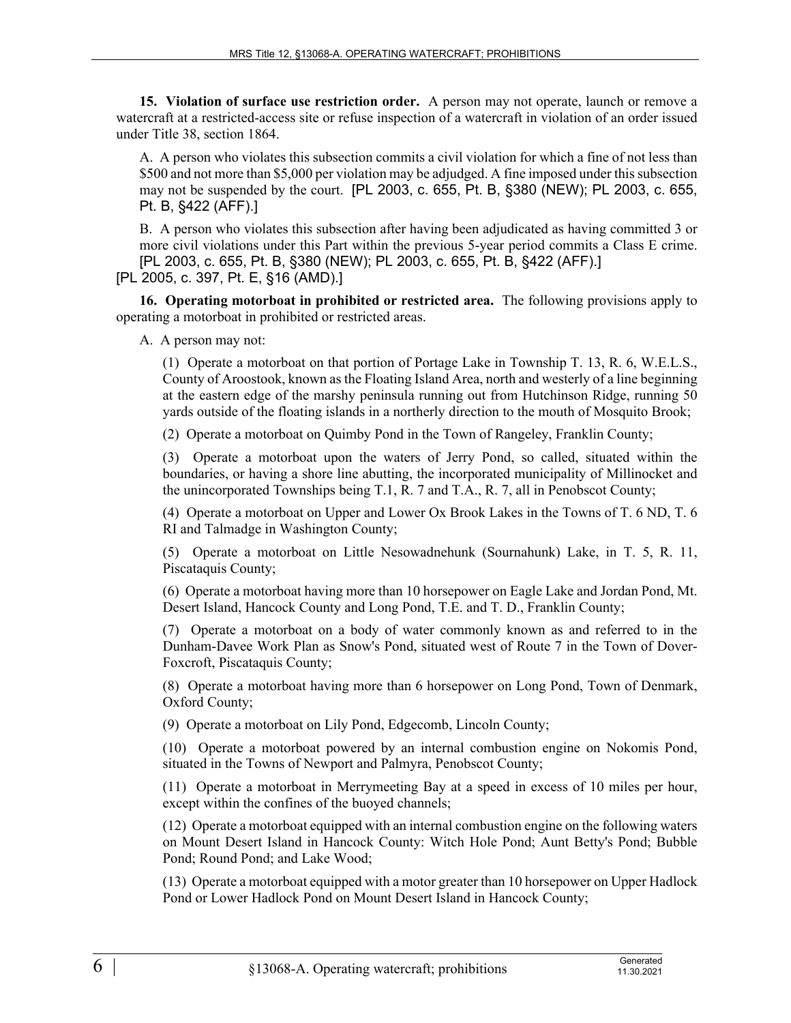**15. Violation of surface use restriction order.** A person may not operate, launch or remove a watercraft at a restricted-access site or refuse inspection of a watercraft in violation of an order issued under Title 38, section 1864.

A. A person who violates this subsection commits a civil violation for which a fine of not less than \$500 and not more than \$5,000 per violation may be adjudged. A fine imposed under this subsection may not be suspended by the court. [PL 2003, c. 655, Pt. B, §380 (NEW); PL 2003, c. 655, Pt. B, §422 (AFF).]

B. A person who violates this subsection after having been adjudicated as having committed 3 or more civil violations under this Part within the previous 5-year period commits a Class E crime. [PL 2003, c. 655, Pt. B, §380 (NEW); PL 2003, c. 655, Pt. B, §422 (AFF).]

[PL 2005, c. 397, Pt. E, §16 (AMD).]

**16. Operating motorboat in prohibited or restricted area.** The following provisions apply to operating a motorboat in prohibited or restricted areas.

A. A person may not:

(1) Operate a motorboat on that portion of Portage Lake in Township T. 13, R. 6, W.E.L.S., County of Aroostook, known as the Floating Island Area, north and westerly of a line beginning at the eastern edge of the marshy peninsula running out from Hutchinson Ridge, running 50 yards outside of the floating islands in a northerly direction to the mouth of Mosquito Brook;

(2) Operate a motorboat on Quimby Pond in the Town of Rangeley, Franklin County;

(3) Operate a motorboat upon the waters of Jerry Pond, so called, situated within the boundaries, or having a shore line abutting, the incorporated municipality of Millinocket and the unincorporated Townships being T.1, R. 7 and T.A., R. 7, all in Penobscot County;

(4) Operate a motorboat on Upper and Lower Ox Brook Lakes in the Towns of T. 6 ND, T. 6 RI and Talmadge in Washington County;

(5) Operate a motorboat on Little Nesowadnehunk (Sournahunk) Lake, in T. 5, R. 11, Piscataquis County;

(6) Operate a motorboat having more than 10 horsepower on Eagle Lake and Jordan Pond, Mt. Desert Island, Hancock County and Long Pond, T.E. and T. D., Franklin County;

(7) Operate a motorboat on a body of water commonly known as and referred to in the Dunham-Davee Work Plan as Snow's Pond, situated west of Route 7 in the Town of Dover-Foxcroft, Piscataquis County;

(8) Operate a motorboat having more than 6 horsepower on Long Pond, Town of Denmark, Oxford County;

(9) Operate a motorboat on Lily Pond, Edgecomb, Lincoln County;

(10) Operate a motorboat powered by an internal combustion engine on Nokomis Pond, situated in the Towns of Newport and Palmyra, Penobscot County;

(11) Operate a motorboat in Merrymeeting Bay at a speed in excess of 10 miles per hour, except within the confines of the buoyed channels;

(12) Operate a motorboat equipped with an internal combustion engine on the following waters on Mount Desert Island in Hancock County: Witch Hole Pond; Aunt Betty's Pond; Bubble Pond; Round Pond; and Lake Wood;

(13) Operate a motorboat equipped with a motor greater than 10 horsepower on Upper Hadlock Pond or Lower Hadlock Pond on Mount Desert Island in Hancock County;